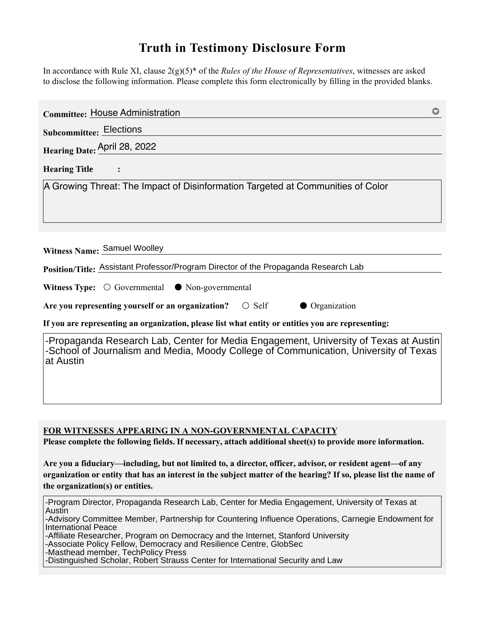## **Truth in Testimony Disclosure Form**

In accordance with Rule XI, clause 2(g)(5)\* of the *Rules of the House of Representatives*, witnesses are asked to disclose the following information. Please complete this form electronically by filling in the provided blanks.

| <b>Committee: House Administration</b>                                                                                                                                                    |
|-------------------------------------------------------------------------------------------------------------------------------------------------------------------------------------------|
| <b>Subcommittee: Elections</b>                                                                                                                                                            |
| Hearing Date: April 28, 2022                                                                                                                                                              |
| <b>Hearing Title</b>                                                                                                                                                                      |
| A Growing Threat: The Impact of Disinformation Targeted at Communities of Color                                                                                                           |
| Witness Name: Samuel Woolley<br>Position/Title: Assistant Professor/Program Director of the Propaganda Research Lab                                                                       |
| <b>Witness Type:</b> $\bigcirc$ Governmental $\bigcirc$ Non-governmental<br>$\bigcirc$ Self                                                                                               |
| • Organization<br>Are you representing yourself or an organization?<br>If you are representing an organization, please list what entity or entities you are representing:                 |
| -Propaganda Research Lab, Center for Media Engagement, University of Texas at Austin<br>-School of Journalism and Media, Moody College of Communication, University of Texas<br>at Austin |

**FOR WITNESSES APPEARING IN A NON-GOVERNMENTAL CAPACITY**

**Please complete the following fields. If necessary, attach additional sheet(s) to provide more information.**

**Are you a fiduciary—including, but not limited to, a director, officer, advisor, or resident agent—of any organization or entity that has an interest in the subject matter of the hearing? If so, please list the name of the organization(s) or entities.**

-Program Director, Propaganda Research Lab, Center for Media Engagement, University of Texas at Austin -Advisory Committee Member, Partnership for Countering Influence Operations, Carnegie Endowment for International Peace -Affiliate Researcher, Program on Democracy and the Internet, Stanford University -Associate Policy Fellow, Democracy and Resilience Centre, GlobSec -Masthead member, TechPolicy Press -Distinguished Scholar, Robert Strauss Center for International Security and Law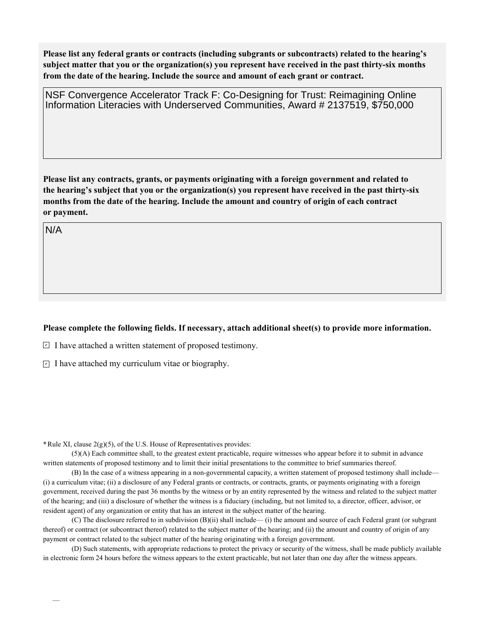**Please list any federal grants or contracts (including subgrants or subcontracts) related to the hearing's subject matter that you or the organization(s) you represent have received in the past thirty-six months from the date of the hearing. Include the source and amount of each grant or contract.** 

NSF Convergence Accelerator Track F: Co-Designing for Trust: Reimagining Online Information Literacies with Underserved Communities, Award # 2137519, \$750,000

**Please list any contracts, grants, or payments originating with a foreign government and related to the hearing's subject that you or the organization(s) you represent have received in the past thirty-six months from the date of the hearing. Include the amount and country of origin of each contract or payment.** 

N/A

## **Please complete the following fields. If necessary, attach additional sheet(s) to provide more information.**

 $\exists$  I have attached a written statement of proposed testimony.

 $\subseteq$  I have attached my curriculum vitae or biography.

**\***Rule XI, clause 2(g)(5), of the U.S. House of Representatives provides:

(5)(A) Each committee shall, to the greatest extent practicable, require witnesses who appear before it to submit in advance written statements of proposed testimony and to limit their initial presentations to the committee to brief summaries thereof.

(B) In the case of a witness appearing in a non-governmental capacity, a written statement of proposed testimony shall include— (i) a curriculum vitae; (ii) a disclosure of any Federal grants or contracts, or contracts, grants, or payments originating with a foreign government, received during the past 36 months by the witness or by an entity represented by the witness and related to the subject matter of the hearing; and (iii) a disclosure of whether the witness is a fiduciary (including, but not limited to, a director, officer, advisor, or resident agent) of any organization or entity that has an interest in the subject matter of the hearing.

(C) The disclosure referred to in subdivision (B)(ii) shall include— (i) the amount and source of each Federal grant (or subgrant thereof) or contract (or subcontract thereof) related to the subject matter of the hearing; and (ii) the amount and country of origin of any payment or contract related to the subject matter of the hearing originating with a foreign government.

(D) Such statements, with appropriate redactions to protect the privacy or security of the witness, shall be made publicly available in electronic form 24 hours before the witness appears to the extent practicable, but not later than one day after the witness appears.